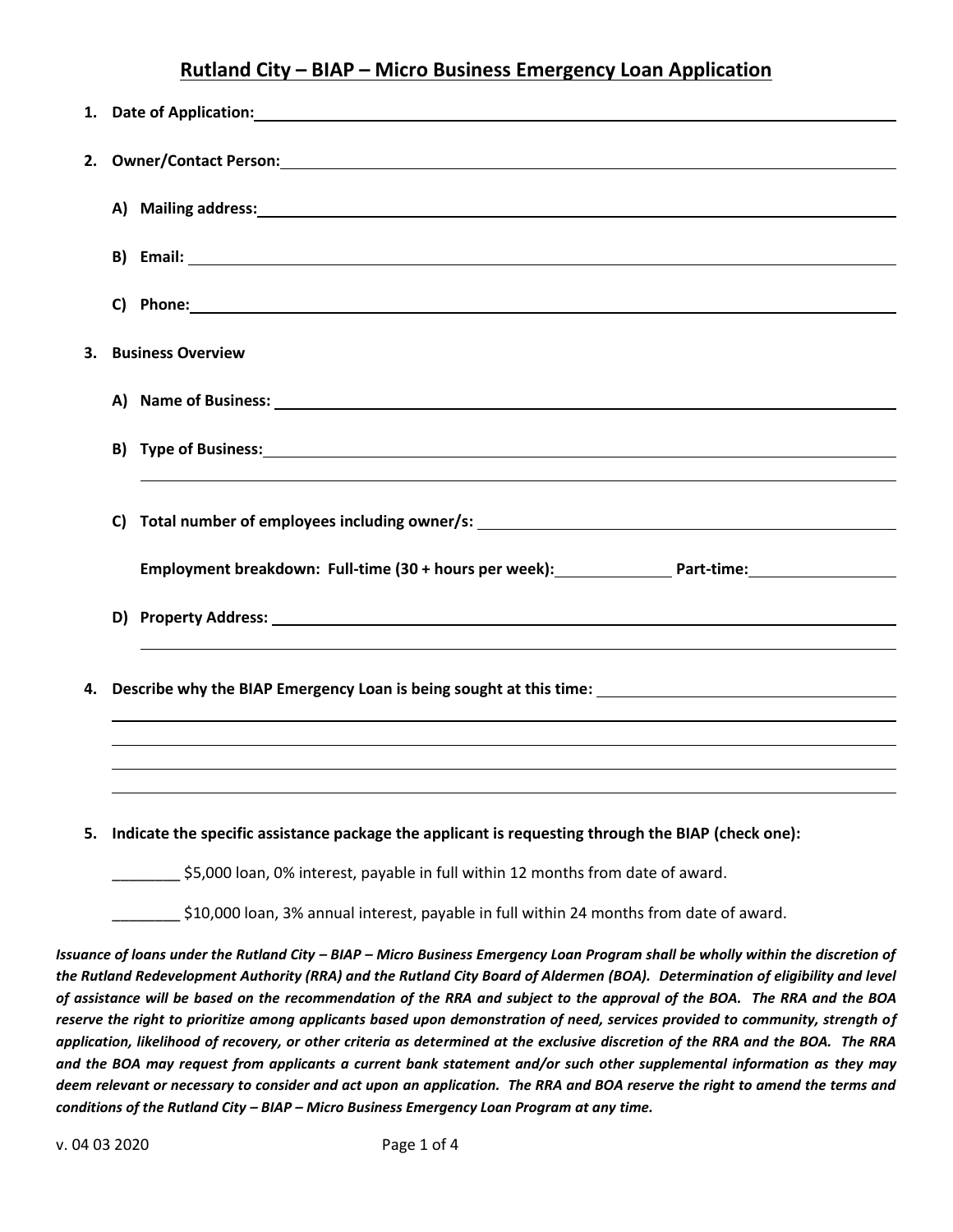## **Rutland City – BIAP – Micro Business Emergency Loan Application**

| 1. |                                                                                                                                                                                                                                |
|----|--------------------------------------------------------------------------------------------------------------------------------------------------------------------------------------------------------------------------------|
|    |                                                                                                                                                                                                                                |
|    | A) Mailing address:<br><u>National Communication</u>                                                                                                                                                                           |
|    |                                                                                                                                                                                                                                |
|    | C) Phone: New York Contract the Contract of the Contract of the Contract of the Contract of the Contract of the Contract of the Contract of the Contract of the Contract of the Contract of the Contract of the Contract of th |
| 3. | <b>Business Overview</b>                                                                                                                                                                                                       |
|    | A) Name of Business: 1988 and 2008 and 2008 and 2008 and 2008 and 2008 and 2008 and 2008 and 2008 and 2008 and 2008 and 2008 and 2008 and 2008 and 2008 and 2008 and 2008 and 2008 and 2008 and 2008 and 2008 and 2008 and 200 |
|    | B) Type of Business: 1999 and 2009 and 2009 and 2009 and 2009 and 2009 and 2009 and 2009 and 2009 and 2009 and 2009 and 2009 and 2009 and 2009 and 2009 and 2009 and 2009 and 2009 and 2009 and 2009 and 2009 and 2009 and 200 |
|    |                                                                                                                                                                                                                                |
|    | Employment breakdown: Full-time (30 + hours per week): Part-time: Part-time:                                                                                                                                                   |
|    |                                                                                                                                                                                                                                |
|    |                                                                                                                                                                                                                                |
| 4. | Describe why the BIAP Emergency Loan is being sought at this time: _________________________________                                                                                                                           |
|    |                                                                                                                                                                                                                                |
| 5. | Indicate the specific assistance package the applicant is requesting through the BIAP (check one):                                                                                                                             |
|    | \$5,000 loan, 0% interest, payable in full within 12 months from date of award.                                                                                                                                                |
|    | \$10,000 loan, 3% annual interest, payable in full within 24 months from date of award.                                                                                                                                        |
|    | Issuance of loans under the Rutland City – BIAP – Micro Business Emergency Loan Program shall be wholly within the discretion of                                                                                               |

*the Rutland Redevelopment Authority (RRA) and the Rutland City Board of Aldermen (BOA). Determination of eligibility and level of assistance will be based on the recommendation of the RRA and subject to the approval of the BOA. The RRA and the BOA reserve the right to prioritize among applicants based upon demonstration of need, services provided to community, strength of application, likelihood of recovery, or other criteria as determined at the exclusive discretion of the RRA and the BOA. The RRA and the BOA may request from applicants a current bank statement and/or such other supplemental information as they may deem relevant or necessary to consider and act upon an application. The RRA and BOA reserve the right to amend the terms and conditions of the Rutland City – BIAP – Micro Business Emergency Loan Program at any time.*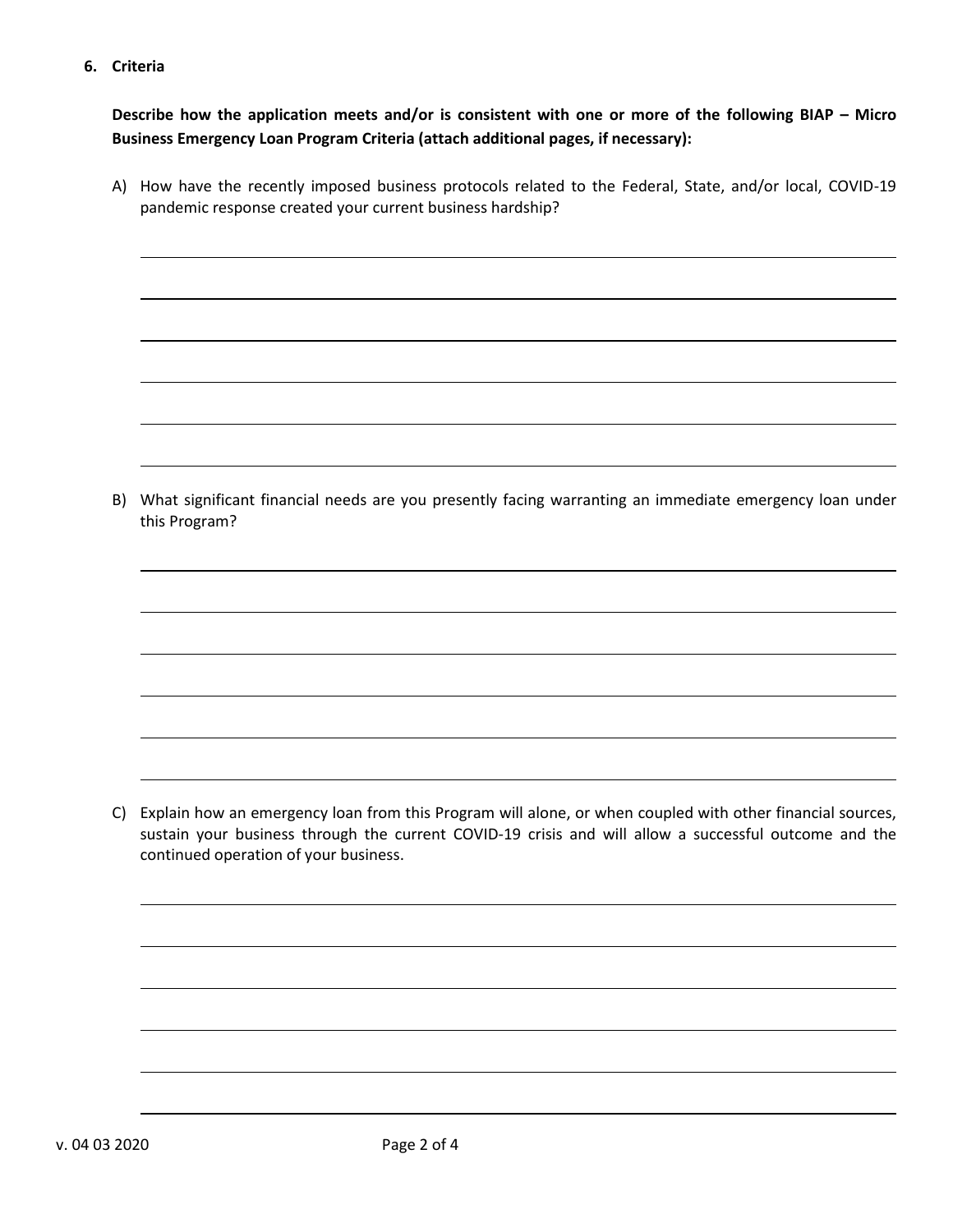## **6. Criteria**

**Describe how the application meets and/or is consistent with one or more of the following BIAP – Micro Business Emergency Loan Program Criteria (attach additional pages, if necessary):**

A) How have the recently imposed business protocols related to the Federal, State, and/or local, COVID-19 pandemic response created your current business hardship?

B) What significant financial needs are you presently facing warranting an immediate emergency loan under this Program?

C) Explain how an emergency loan from this Program will alone, or when coupled with other financial sources, sustain your business through the current COVID-19 crisis and will allow a successful outcome and the continued operation of your business.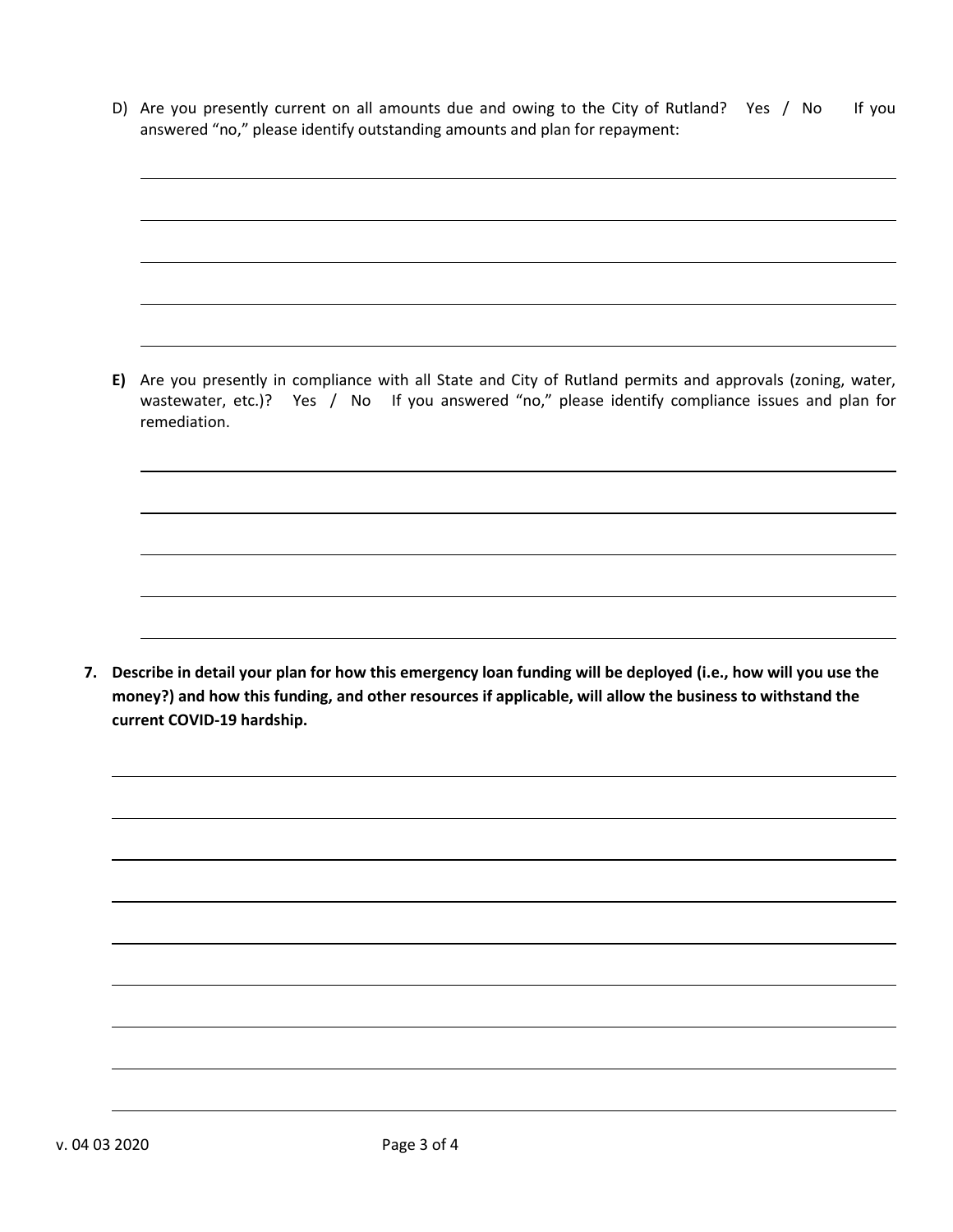D) Are you presently current on all amounts due and owing to the City of Rutland? Yes / No If you answered "no," please identify outstanding amounts and plan for repayment:

**E)** Are you presently in compliance with all State and City of Rutland permits and approvals (zoning, water, wastewater, etc.)? Yes / No If you answered "no," please identify compliance issues and plan for remediation.

**7. Describe in detail your plan for how this emergency loan funding will be deployed (i.e., how will you use the money?) and how this funding, and other resources if applicable, will allow the business to withstand the current COVID-19 hardship.**